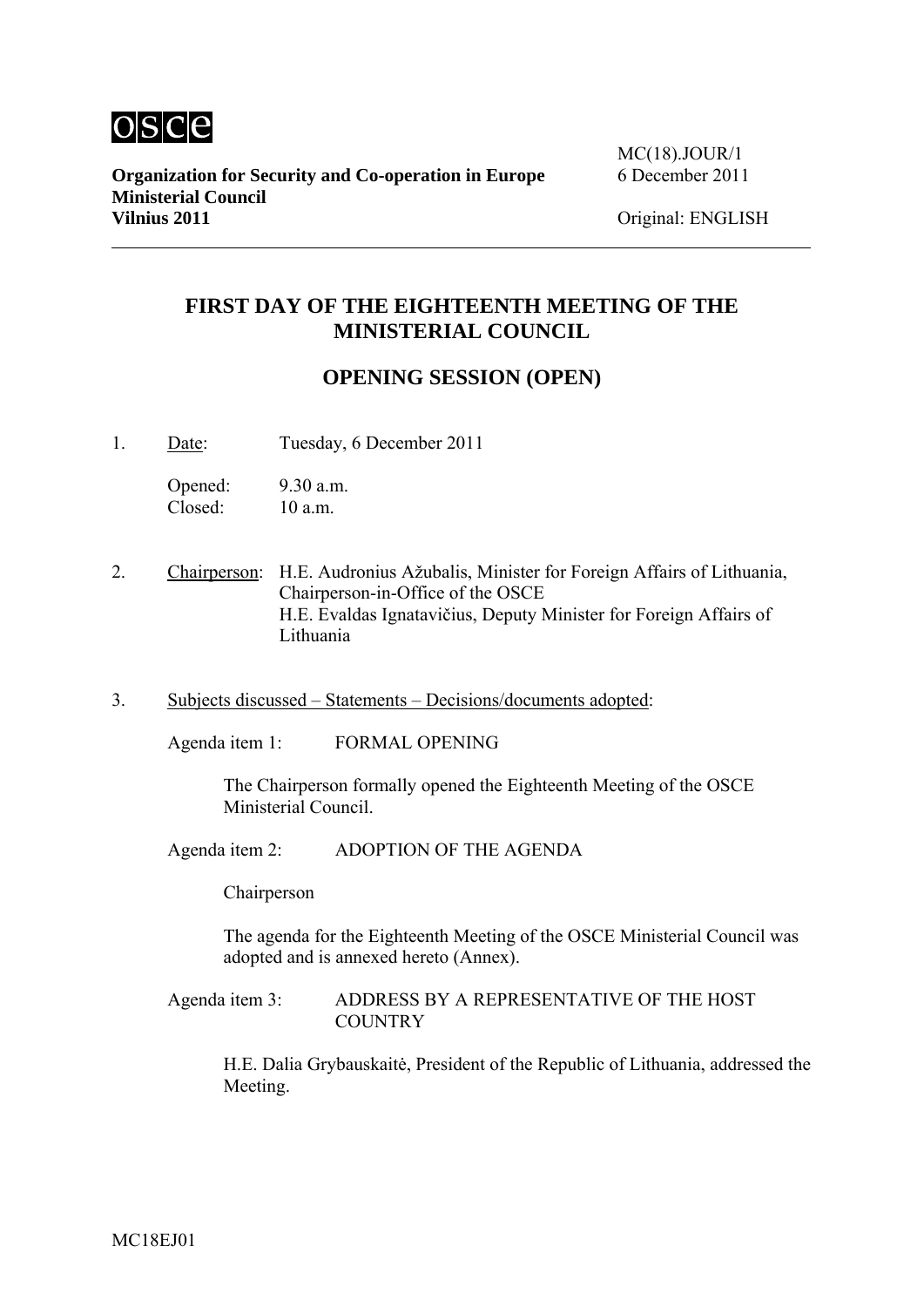

# **FIRST DAY OF THE EIGHTEENTH MEETING OF THE MINISTERIAL COUNCIL**

## **OPENING SESSION (OPEN)**

1. Date: Tuesday, 6 December 2011

Opened: 9.30 a.m. Closed: 10 a.m.

- 2. Chairperson: H.E. Audronius Ažubalis, Minister for Foreign Affairs of Lithuania, Chairperson-in-Office of the OSCE H.E. Evaldas Ignatavičius, Deputy Minister for Foreign Affairs of Lithuania
- 3. Subjects discussed Statements Decisions/documents adopted:

Agenda item 1: FORMAL OPENING

The Chairperson formally opened the Eighteenth Meeting of the OSCE Ministerial Council.

Agenda item 2: ADOPTION OF THE AGENDA

Chairperson

The agenda for the Eighteenth Meeting of the OSCE Ministerial Council was adopted and is annexed hereto (Annex).

Agenda item 3: ADDRESS BY A REPRESENTATIVE OF THE HOST **COUNTRY** 

H.E. Dalia Grybauskaitė, President of the Republic of Lithuania, addressed the Meeting.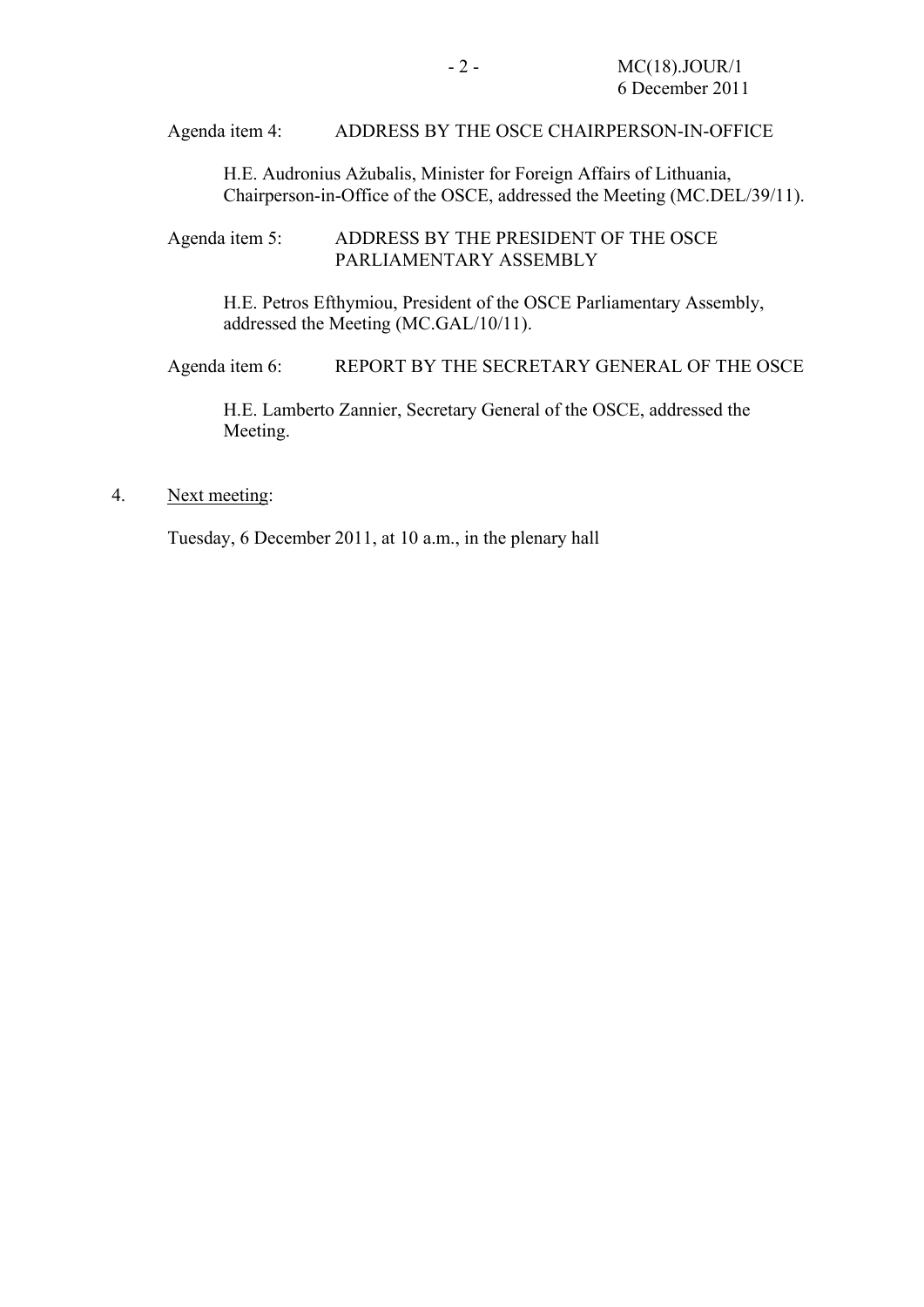#### Agenda item 4: ADDRESS BY THE OSCE CHAIRPERSON-IN-OFFICE

H.E. Audronius Ažubalis, Minister for Foreign Affairs of Lithuania, Chairperson-in-Office of the OSCE, addressed the Meeting (MC.DEL/39/11).

Agenda item 5: ADDRESS BY THE PRESIDENT OF THE OSCE PARLIAMENTARY ASSEMBLY

H.E. Petros Efthymiou, President of the OSCE Parliamentary Assembly, addressed the Meeting (MC.GAL/10/11).

Agenda item 6: REPORT BY THE SECRETARY GENERAL OF THE OSCE

H.E. Lamberto Zannier, Secretary General of the OSCE, addressed the Meeting.

#### 4. Next meeting:

Tuesday, 6 December 2011, at 10 a.m., in the plenary hall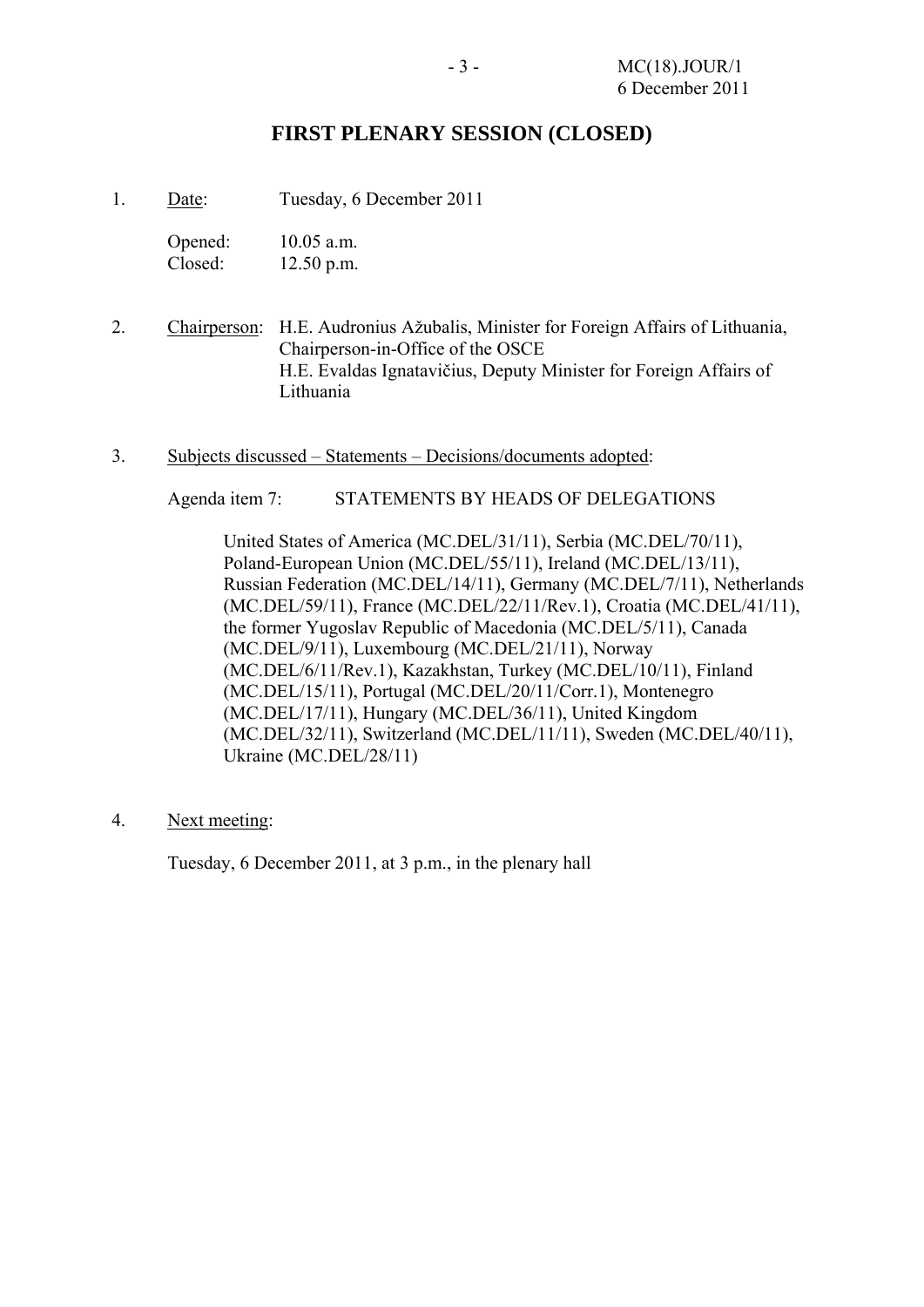### **FIRST PLENARY SESSION (CLOSED)**

1. Date: Tuesday, 6 December 2011

| Opened: | $10.05$ a.m. |
|---------|--------------|
| Closed: | $12.50$ p.m. |

- 2. Chairperson: H.E. Audronius Ažubalis, Minister for Foreign Affairs of Lithuania, Chairperson-in-Office of the OSCE H.E. Evaldas Ignatavičius, Deputy Minister for Foreign Affairs of Lithuania
- 3. Subjects discussed Statements Decisions/documents adopted:

Agenda item 7: STATEMENTS BY HEADS OF DELEGATIONS

United States of America (MC.DEL/31/11), Serbia (MC.DEL/70/11), Poland-European Union (MC.DEL/55/11), Ireland (MC.DEL/13/11), Russian Federation (MC.DEL/14/11), Germany (MC.DEL/7/11), Netherlands (MC.DEL/59/11), France (MC.DEL/22/11/Rev.1), Croatia (MC.DEL/41/11), the former Yugoslav Republic of Macedonia (MC.DEL/5/11), Canada (MC.DEL/9/11), Luxembourg (MC.DEL/21/11), Norway (MC.DEL/6/11/Rev.1), Kazakhstan, Turkey (MC.DEL/10/11), Finland (MC.DEL/15/11), Portugal (MC.DEL/20/11/Corr.1), Montenegro (MC.DEL/17/11), Hungary (MC.DEL/36/11), United Kingdom (MC.DEL/32/11), Switzerland (MC.DEL/11/11), Sweden (MC.DEL/40/11), Ukraine (MC.DEL/28/11)

4. Next meeting:

Tuesday, 6 December 2011, at 3 p.m., in the plenary hall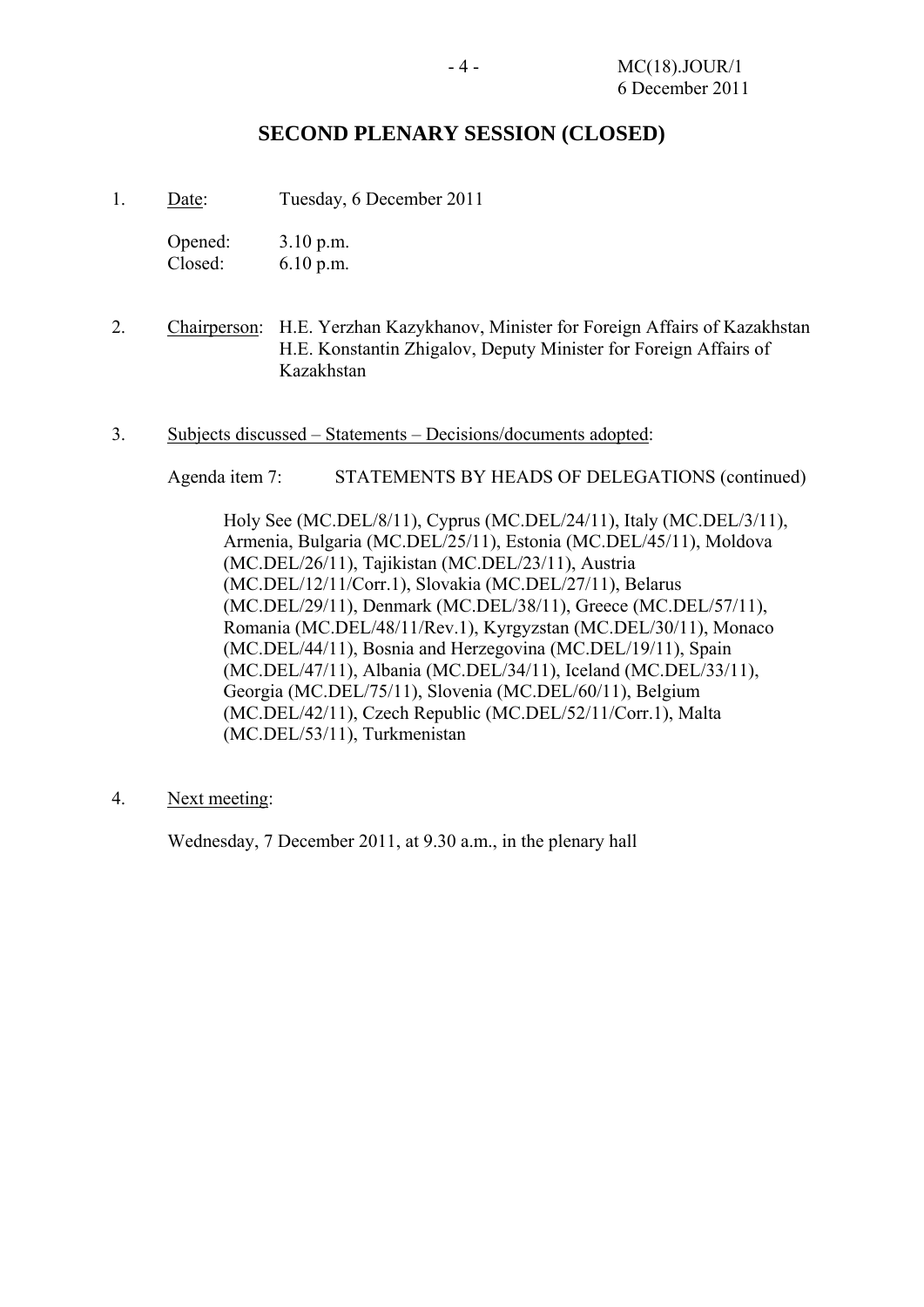## **SECOND PLENARY SESSION (CLOSED)**

1. Date: Tuesday, 6 December 2011

Opened: 3.10 p.m. Closed: 6.10 p.m.

- 2. Chairperson: H.E. Yerzhan Kazykhanov, Minister for Foreign Affairs of Kazakhstan H.E. Konstantin Zhigalov, Deputy Minister for Foreign Affairs of Kazakhstan
- 3. Subjects discussed Statements Decisions/documents adopted:

Agenda item 7: STATEMENTS BY HEADS OF DELEGATIONS (continued)

Holy See (MC.DEL/8/11), Cyprus (MC.DEL/24/11), Italy (MC.DEL/3/11), Armenia, Bulgaria (MC.DEL/25/11), Estonia (MC.DEL/45/11), Moldova (MC.DEL/26/11), Tajikistan (MC.DEL/23/11), Austria (MC.DEL/12/11/Corr.1), Slovakia (MC.DEL/27/11), Belarus (MC.DEL/29/11), Denmark (MC.DEL/38/11), Greece (MC.DEL/57/11), Romania (MC.DEL/48/11/Rev.1), Kyrgyzstan (MC.DEL/30/11), Monaco (MC.DEL/44/11), Bosnia and Herzegovina (MC.DEL/19/11), Spain (MC.DEL/47/11), Albania (MC.DEL/34/11), Iceland (MC.DEL/33/11), Georgia (MC.DEL/75/11), Slovenia (MC.DEL/60/11), Belgium (MC.DEL/42/11), Czech Republic (MC.DEL/52/11/Corr.1), Malta (MC.DEL/53/11), Turkmenistan

4. Next meeting:

Wednesday, 7 December 2011, at 9.30 a.m., in the plenary hall